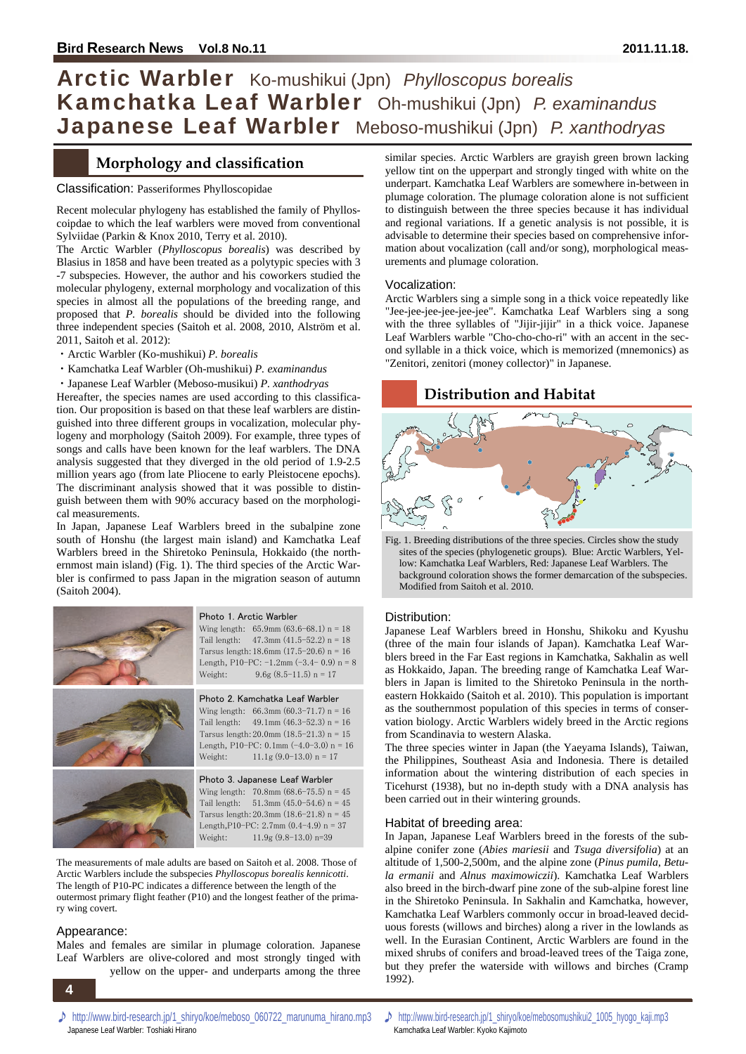## Arctic Warbler Ko-mushikui (Jpn) *Phylloscopus borealis*  Kamchatka Leaf Warbler Oh-mushikui (Jpn) *P. examinandus*  Japanese Leaf Warbler Meboso-mushikui (Jpn) *P. xanthodryas*

## **Morphology and classification**

#### Classification: Passeriformes Phylloscopidae

Recent molecular phylogeny has established the family of Phylloscoipdae to which the leaf warblers were moved from conventional Sylviidae (Parkin & Knox 2010, Terry et al. 2010).

The Arctic Warbler (*Phylloscopus borealis*) was described by Blasius in 1858 and have been treated as a polytypic species with 3 -7 subspecies. However, the author and his coworkers studied the molecular phylogeny, external morphology and vocalization of this species in almost all the populations of the breeding range, and proposed that *P. borealis* should be divided into the following three independent species (Saitoh et al. 2008, 2010, Alström et al. 2011, Saitoh et al. 2012):

- ・Arctic Warbler (Ko-mushikui) *P. borealis*
- ・Kamchatka Leaf Warbler (Oh-mushikui) *P. examinandus*
- ・Japanese Leaf Warbler (Meboso-musikui) *P. xanthodryas*

Hereafter, the species names are used according to this classification. Our proposition is based on that these leaf warblers are distinguished into three different groups in vocalization, molecular phylogeny and morphology (Saitoh 2009). For example, three types of songs and calls have been known for the leaf warblers. The DNA analysis suggested that they diverged in the old period of 1.9-2.5 million years ago (from late Pliocene to early Pleistocene epochs). The discriminant analysis showed that it was possible to distinguish between them with 90% accuracy based on the morphological measurements.

In Japan, Japanese Leaf Warblers breed in the subalpine zone south of Honshu (the largest main island) and Kamchatka Leaf Warblers breed in the Shiretoko Peninsula, Hokkaido (the northernmost main island) (Fig. 1). The third species of the Arctic Warbler is confirmed to pass Japan in the migration season of autumn (Saitoh 2004).



The measurements of male adults are based on Saitoh et al. 2008. Those of Arctic Warblers include the subspecies *Phylloscopus borealis kennicotti*. The length of P10-PC indicates a difference between the length of the outermost primary flight feather (P10) and the longest feather of the primary wing covert.

#### Appearance:

Males and females are similar in plumage coloration. Japanese Leaf Warblers are olive-colored and most strongly tinged with yellow on the upper- and underparts among the three

**4 4** 

similar species. Arctic Warblers are grayish green brown lacking yellow tint on the upperpart and strongly tinged with white on the underpart. Kamchatka Leaf Warblers are somewhere in-between in plumage coloration. The plumage coloration alone is not sufficient to distinguish between the three species because it has individual and regional variations. If a genetic analysis is not possible, it is advisable to determine their species based on comprehensive information about vocalization (call and/or song), morphological measurements and plumage coloration.

#### Vocalization:

Arctic Warblers sing a simple song in a thick voice repeatedly like "Jee-jee-jee-jee-jee-jee". Kamchatka Leaf Warblers sing a song with the three syllables of "Jijir-jijir" in a thick voice. Japanese Leaf Warblers warble "Cho-cho-cho-ri" with an accent in the second syllable in a thick voice, which is memorized (mnemonics) as "Zenitori, zenitori (money collector)" in Japanese.

## **Distribution and Habitat**



Fig. 1. Breeding distributions of the three species. Circles show the study sites of the species (phylogenetic groups). Blue: Arctic Warblers, Yellow: Kamchatka Leaf Warblers, Red: Japanese Leaf Warblers. The background coloration shows the former demarcation of the subspecies. Modified from Saitoh et al. 2010.

#### Distribution:

Japanese Leaf Warblers breed in Honshu, Shikoku and Kyushu (three of the main four islands of Japan). Kamchatka Leaf Warblers breed in the Far East regions in Kamchatka, Sakhalin as well as Hokkaido, Japan. The breeding range of Kamchatka Leaf Warblers in Japan is limited to the Shiretoko Peninsula in the northeastern Hokkaido (Saitoh et al. 2010). This population is important as the southernmost population of this species in terms of conservation biology. Arctic Warblers widely breed in the Arctic regions from Scandinavia to western Alaska.

The three species winter in Japan (the Yaeyama Islands), Taiwan, the Philippines, Southeast Asia and Indonesia. There is detailed information about the wintering distribution of each species in Ticehurst (1938), but no in-depth study with a DNA analysis has been carried out in their wintering grounds.

#### Habitat of breeding area:

In Japan, Japanese Leaf Warblers breed in the forests of the subalpine conifer zone (*Abies mariesii* and *Tsuga diversifolia*) at an altitude of 1,500-2,500m, and the alpine zone (*Pinus pumila*, *Betula ermanii* and *Alnus maximowiczii*). Kamchatka Leaf Warblers also breed in the birch-dwarf pine zone of the sub-alpine forest line in the Shiretoko Peninsula. In Sakhalin and Kamchatka, however, Kamchatka Leaf Warblers commonly occur in broad-leaved deciduous forests (willows and birches) along a river in the lowlands as well. In the Eurasian Continent, Arctic Warblers are found in the mixed shrubs of conifers and broad-leaved trees of the Taiga zone, but they prefer the waterside with willows and birches (Cramp 1992).